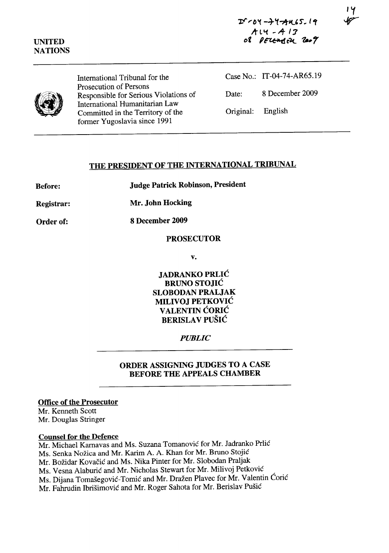14



International Tribunal for the Prosecution of Persons Responsible for Serious Violations of International Humanitarian Law Committed in the Territory of the former Yugoslavia since 1991

|                   | Case No.: IT-04-74-AR65.19 |
|-------------------|----------------------------|
| Date:             | 8 December 2009            |
| Original: English |                            |

# THE PRESIDENT OF THE INTERNATIONAL TRIBUNAL

Before: Judge Patrick Robinson, President

Registrar: Mr. John Hocking

Order of: 8 December 2009

### PROSECUTOR

v.

JADRANKO PRLIC BRUNO STOJIC SLOBODAN PRALJAK MILIVOJ PETKOVIC VALENTIN CORIC BERISLAV PUŠIĆ

# *PUBLIC*

### ORDER ASSIGNING JUDGES TO A CASE BEFORE THE APPEALS CHAMBER

# Office of the Prosecutor

Mr. Kenneth Scott Mr. Douglas Stringer

#### Counsel for the Defence

Mr. Michael Karnavas and Ms. Suzana Tomanovic for Mr. ladranko Prlic Ms. Senka Nozica and Mr. Karim A. A. Khan for Mr. Bruno Stojic Mr. Božidar Kovačić and Ms. Nika Pinter for Mr. Slobodan Praljak Ms. Vesna Alaburić and Mr. Nicholas Stewart for Mr. Milivoj Petković Ms. Dijana Tomašegović-Tomić and Mr. Dražen Plavec for Mr. Valentin Ćorić Mr. Fahrudin Ibrišimović and Mr. Roger Sahota for Mr. Berislav Pušić